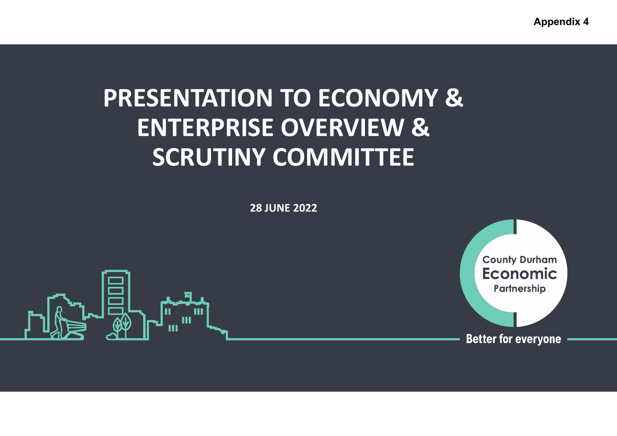**Appendix 4**

## **PRESENTATION TO ECONOMY & ENTERPRISE OVERVIEW & SCRUTINY COMMITTEE**

**28 JUNE 2022**



**County Durham Economic** Partnership

**Better for everyone**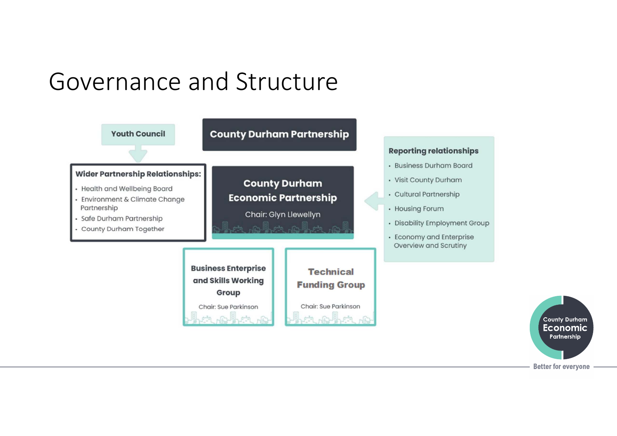#### Governance and Structure



**County Durham** Economic Partnership **Better for everyone**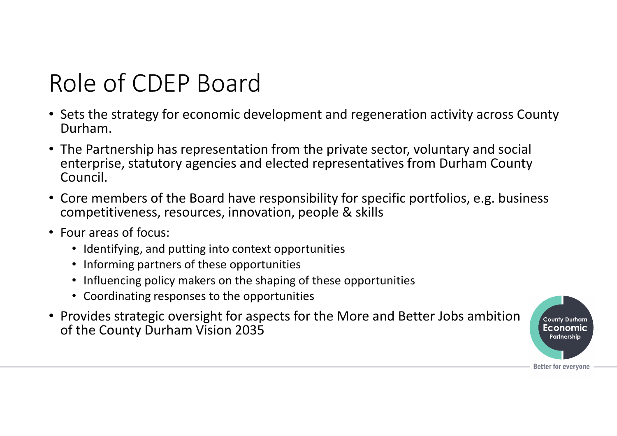# Role of CDEP Board

- Sets the strategy for economic development and regeneration activity across County Durham.
- The Partnership has representation from the private sector, voluntary and social enterprise, statutory agencies and elected representatives from Durham County Council.
- Core members of the Board have responsibility for specific portfolios, e.g. business competitiveness, resources, innovation, people & skills
- Four areas of focus:
	- Identifying, and putting into context opportunities
	- Informing partners of these opportunities
	- Influencing policy makers on the shaping of these opportunities
	- Coordinating responses to the opportunities
- Provides strategic oversight for aspects for the More and Better Jobs ambition of the County Durham Vision 2035

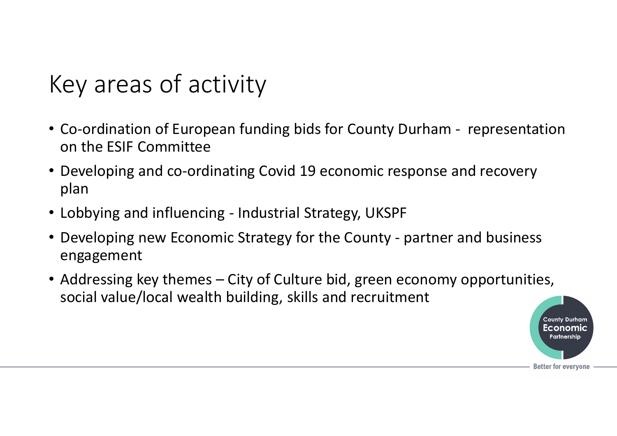## Key areas of activity

- Co-ordination of European funding bids for County Durham representation on the ESIF Committee
- Developing and co-ordinating Covid 19 economic response and recovery plan
- Lobbying and influencing Industrial Strategy, UKSPF
- Developing new Economic Strategy for the County partner and business engagement
- Addressing key themes City of Culture bid, green economy opportunities, social value/local wealth building, skills and recruitment

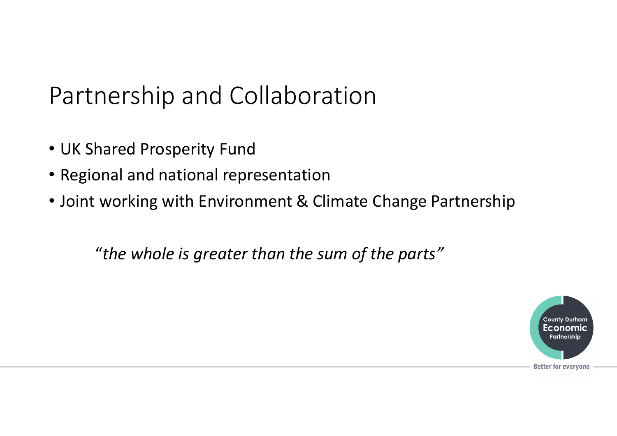## Partnership and Collaboration

- UK Shared Prosperity Fund
- Regional and national representation
- Joint working with Environment & Climate Change Partnership

"*the whole is greater than the sum of the parts"*